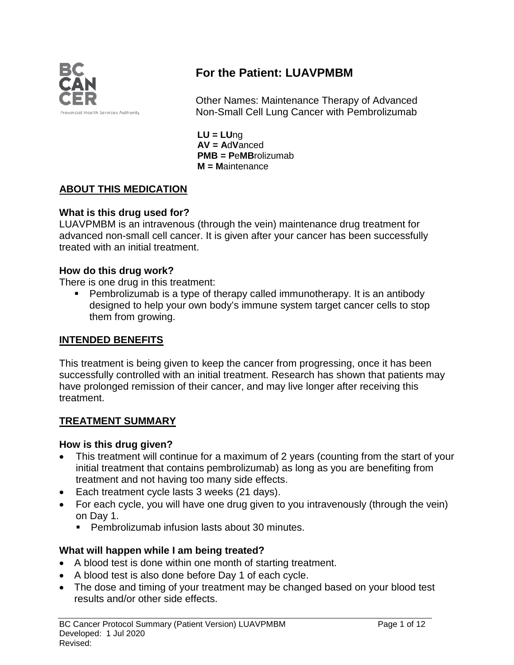

# **For the Patient: LUAVPMBM**

Other Names: Maintenance Therapy of Advanced Non-Small Cell Lung Cancer with Pembrolizumab

**LU = LU**ng **AV = A**d**V**anced **PMB = P**e**MB**rolizumab **M = M**aintenance

### **ABOUT THIS MEDICATION**

#### **What is this drug used for?**

LUAVPMBM is an intravenous (through the vein) maintenance drug treatment for advanced non-small cell cancer. It is given after your cancer has been successfully treated with an initial treatment.

#### **How do this drug work?**

There is one drug in this treatment:

 Pembrolizumab is a type of therapy called immunotherapy. It is an antibody designed to help your own body's immune system target cancer cells to stop them from growing.

#### **INTENDED BENEFITS**

This treatment is being given to keep the cancer from progressing, once it has been successfully controlled with an initial treatment. Research has shown that patients may have prolonged remission of their cancer, and may live longer after receiving this treatment.

#### **TREATMENT SUMMARY**

#### **How is this drug given?**

- This treatment will continue for a maximum of 2 years (counting from the start of your initial treatment that contains pembrolizumab) as long as you are benefiting from treatment and not having too many side effects.
- Each treatment cycle lasts 3 weeks (21 days).
- For each cycle, you will have one drug given to you intravenously (through the vein) on Day 1.
	- **Pembrolizumab infusion lasts about 30 minutes.**

### **What will happen while I am being treated?**

- A blood test is done within one month of starting treatment.
- A blood test is also done before Day 1 of each cycle.
- The dose and timing of your treatment may be changed based on your blood test results and/or other side effects.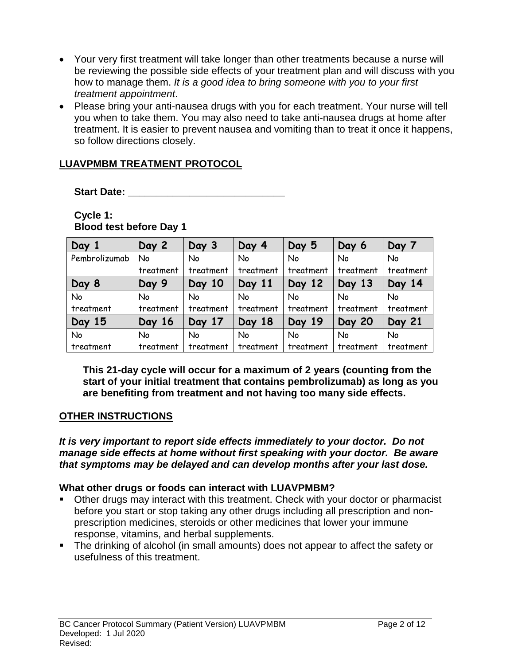- Your very first treatment will take longer than other treatments because a nurse will be reviewing the possible side effects of your treatment plan and will discuss with you how to manage them. *It is a good idea to bring someone with you to your first treatment appointment*.
- Please bring your anti-nausea drugs with you for each treatment. Your nurse will tell you when to take them. You may also need to take anti-nausea drugs at home after treatment. It is easier to prevent nausea and vomiting than to treat it once it happens, so follow directions closely.

### **LUAVPMBM TREATMENT PROTOCOL**

**Start Date: Constanting Start Date:** 

**Cycle 1: Blood test before Day 1** 

| Day 1         | Day 2     | Day 3     | Day 4     | Day 5     | Day 6         | Day 7         |
|---------------|-----------|-----------|-----------|-----------|---------------|---------------|
| Pembrolizumab | No        | No        | No        | No        | No            | No            |
|               | treatment | treatment | treatment | treatment | treatment     | treatment     |
| Day 8         | Day 9     | Day 10    | Day 11    | Day 12    | Day 13        | Day 14        |
| No            | No        | <b>No</b> | No        | No        | No            | No            |
| treatment     | treatment | treatment | treatment | treatment | treatment     | treatment     |
| Day 15        | Day 16    | Day 17    | Day 18    | Day 19    | <b>Day 20</b> | <b>Day 21</b> |
| No            | No        | <b>No</b> | No        | No        | No            | No            |
| treatment     | treatment | treatment | treatment | treatment | treatment     | treatment     |

**This 21-day cycle will occur for a maximum of 2 years (counting from the start of your initial treatment that contains pembrolizumab) as long as you are benefiting from treatment and not having too many side effects.** 

### **OTHER INSTRUCTIONS**

*It is very important to report side effects immediately to your doctor. Do not manage side effects at home without first speaking with your doctor. Be aware that symptoms may be delayed and can develop months after your last dose.*

### **What other drugs or foods can interact with LUAVPMBM?**

- Other drugs may interact with this treatment. Check with your doctor or pharmacist before you start or stop taking any other drugs including all prescription and nonprescription medicines, steroids or other medicines that lower your immune response, vitamins, and herbal supplements.
- The drinking of alcohol (in small amounts) does not appear to affect the safety or usefulness of this treatment.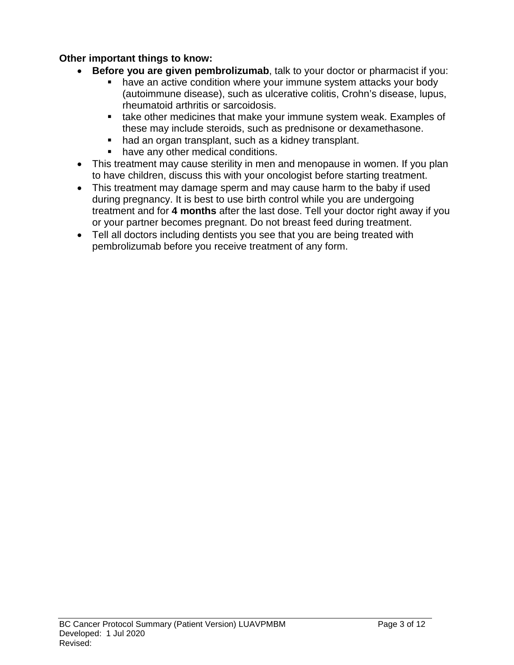### **Other important things to know:**

- **Before you are given pembrolizumab**, talk to your doctor or pharmacist if you:
	- **have an active condition where your immune system attacks your body** (autoimmune disease), such as ulcerative colitis, Crohn's disease, lupus, rheumatoid arthritis or sarcoidosis.
	- **take other medicines that make your immune system weak. Examples of** these may include steroids, such as prednisone or dexamethasone.
	- had an organ transplant, such as a kidney transplant.
	- have any other medical conditions.
- This treatment may cause sterility in men and menopause in women. If you plan to have children, discuss this with your oncologist before starting treatment.
- This treatment may damage sperm and may cause harm to the baby if used during pregnancy. It is best to use birth control while you are undergoing treatment and for **4 months** after the last dose. Tell your doctor right away if you or your partner becomes pregnant. Do not breast feed during treatment.
- Tell all doctors including dentists you see that you are being treated with pembrolizumab before you receive treatment of any form.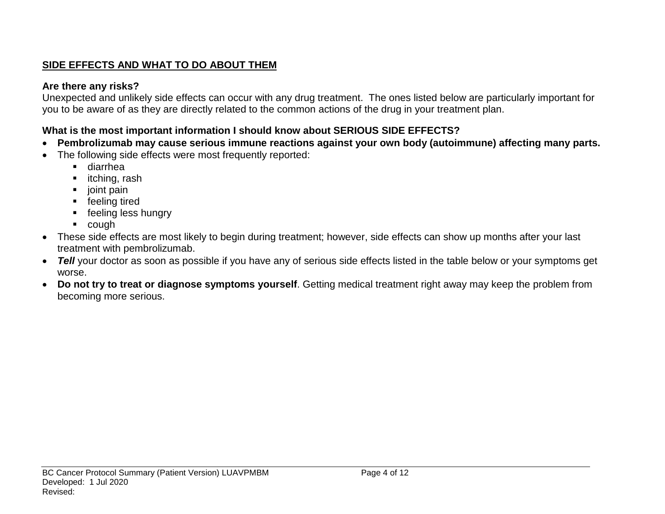## **SIDE EFFECTS AND WHAT TO DO ABOUT THEM**

## **Are there any risks?**

Unexpected and unlikely side effects can occur with any drug treatment. The ones listed below are particularly important for you to be aware of as they are directly related to the common actions of the drug in your treatment plan.

## **What is the most important information I should know about SERIOUS SIDE EFFECTS?**

- **Pembrolizumab may cause serious immune reactions against your own body (autoimmune) affecting many parts.**
- The following side effects were most frequently reported:
	- diarrhea
	- **·** itching, rash
	- joint pain
	- **F** feeling tired
	- **F** feeling less hungry
	- cough
- These side effects are most likely to begin during treatment; however, side effects can show up months after your last treatment with pembrolizumab.
- *Tell* your doctor as soon as possible if you have any of serious side effects listed in the table below or your symptoms get worse.
- **Do not try to treat or diagnose symptoms yourself**. Getting medical treatment right away may keep the problem from becoming more serious.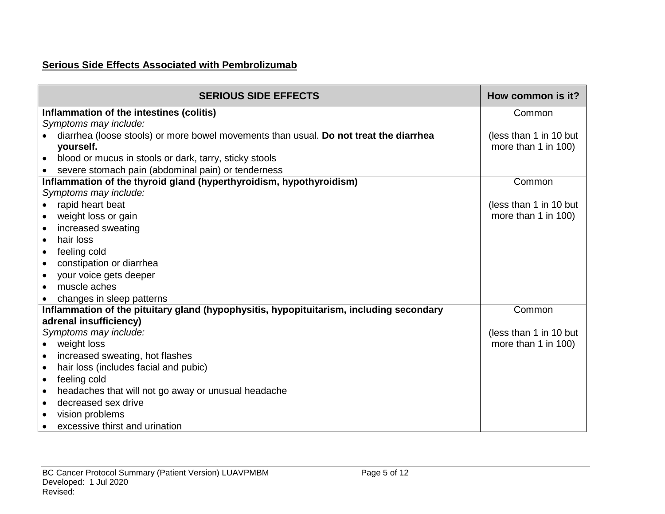## **Serious Side Effects Associated with Pembrolizumab**

| <b>SERIOUS SIDE EFFECTS</b>                                                             | How common is it?      |
|-----------------------------------------------------------------------------------------|------------------------|
| Inflammation of the intestines (colitis)                                                | Common                 |
| Symptoms may include:                                                                   |                        |
| diarrhea (loose stools) or more bowel movements than usual. Do not treat the diarrhea   | (less than 1 in 10 but |
| yourself.                                                                               | more than 1 in 100)    |
| blood or mucus in stools or dark, tarry, sticky stools<br>$\bullet$                     |                        |
| severe stomach pain (abdominal pain) or tenderness                                      |                        |
| Inflammation of the thyroid gland (hyperthyroidism, hypothyroidism)                     | Common                 |
| Symptoms may include:                                                                   |                        |
| rapid heart beat<br>$\bullet$                                                           | (less than 1 in 10 but |
| weight loss or gain<br>$\bullet$                                                        | more than 1 in 100)    |
| increased sweating<br>$\bullet$                                                         |                        |
| hair loss<br>$\bullet$                                                                  |                        |
| feeling cold<br>$\bullet$                                                               |                        |
| constipation or diarrhea<br>$\bullet$                                                   |                        |
| your voice gets deeper<br>$\bullet$                                                     |                        |
| muscle aches<br>$\bullet$                                                               |                        |
| changes in sleep patterns                                                               |                        |
| Inflammation of the pituitary gland (hypophysitis, hypopituitarism, including secondary | Common                 |
| adrenal insufficiency)                                                                  |                        |
| Symptoms may include:                                                                   | (less than 1 in 10 but |
| weight loss<br>$\bullet$                                                                | more than 1 in 100)    |
| increased sweating, hot flashes<br>$\bullet$                                            |                        |
| hair loss (includes facial and pubic)<br>$\bullet$                                      |                        |
| feeling cold<br>$\bullet$                                                               |                        |
| headaches that will not go away or unusual headache<br>$\bullet$                        |                        |
| decreased sex drive<br>$\bullet$                                                        |                        |
| vision problems<br>$\bullet$                                                            |                        |
| excessive thirst and urination                                                          |                        |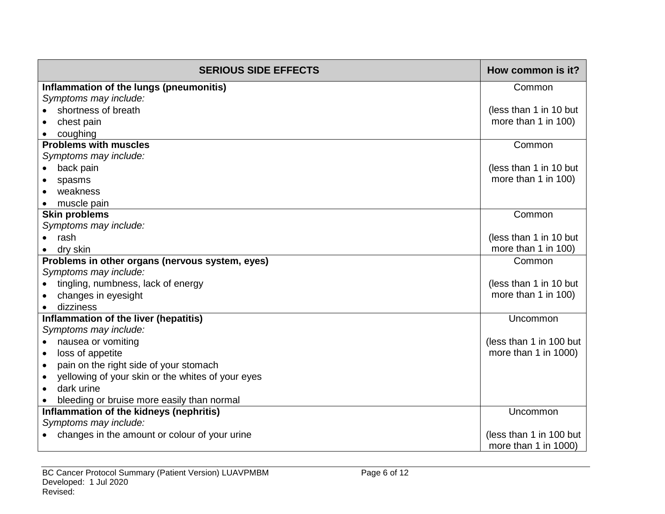| <b>SERIOUS SIDE EFFECTS</b>                       | How common is it?       |
|---------------------------------------------------|-------------------------|
| Inflammation of the lungs (pneumonitis)           | Common                  |
| Symptoms may include:                             |                         |
| shortness of breath                               | (less than 1 in 10 but  |
| chest pain                                        | more than 1 in 100)     |
| coughing                                          |                         |
| <b>Problems with muscles</b>                      | Common                  |
| Symptoms may include:                             |                         |
| back pain                                         | (less than 1 in 10 but  |
| spasms                                            | more than 1 in 100)     |
| weakness                                          |                         |
| muscle pain                                       |                         |
| <b>Skin problems</b>                              | Common                  |
| Symptoms may include:                             |                         |
| rash                                              | (less than 1 in 10 but  |
| dry skin                                          | more than 1 in 100)     |
| Problems in other organs (nervous system, eyes)   | Common                  |
| Symptoms may include:                             |                         |
| tingling, numbness, lack of energy                | (less than 1 in 10 but  |
| changes in eyesight                               | more than 1 in 100)     |
| dizziness                                         |                         |
| Inflammation of the liver (hepatitis)             | Uncommon                |
| Symptoms may include:                             |                         |
| nausea or vomiting<br>$\bullet$                   | (less than 1 in 100 but |
| loss of appetite                                  | more than 1 in 1000)    |
| pain on the right side of your stomach            |                         |
| yellowing of your skin or the whites of your eyes |                         |
| dark urine                                        |                         |
| bleeding or bruise more easily than normal        |                         |
| Inflammation of the kidneys (nephritis)           | Uncommon                |
| Symptoms may include:                             |                         |
| changes in the amount or colour of your urine     | (less than 1 in 100 but |
|                                                   | more than 1 in 1000)    |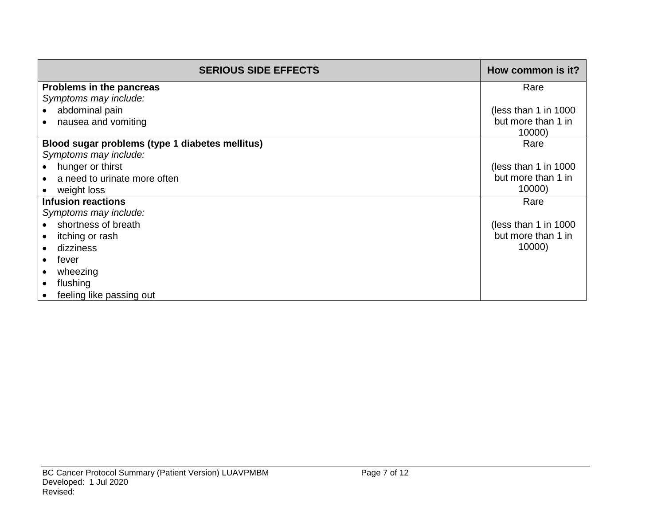| <b>SERIOUS SIDE EFFECTS</b>                     | How common is it?     |
|-------------------------------------------------|-----------------------|
| Problems in the pancreas                        | Rare                  |
| Symptoms may include:                           |                       |
| abdominal pain                                  | (less than 1 in 1000) |
| nausea and vomiting                             | but more than 1 in    |
|                                                 | 10000)                |
| Blood sugar problems (type 1 diabetes mellitus) | Rare                  |
| Symptoms may include:                           |                       |
| hunger or thirst                                | (less than 1 in 1000) |
| a need to urinate more often                    | but more than 1 in    |
| weight loss                                     | 10000)                |
| <b>Infusion reactions</b>                       | Rare                  |
| Symptoms may include:                           |                       |
| shortness of breath                             | (less than 1 in 1000) |
| itching or rash                                 | but more than 1 in    |
| dizziness                                       | 10000)                |
| fever                                           |                       |
| wheezing                                        |                       |
| flushing                                        |                       |
| feeling like passing out                        |                       |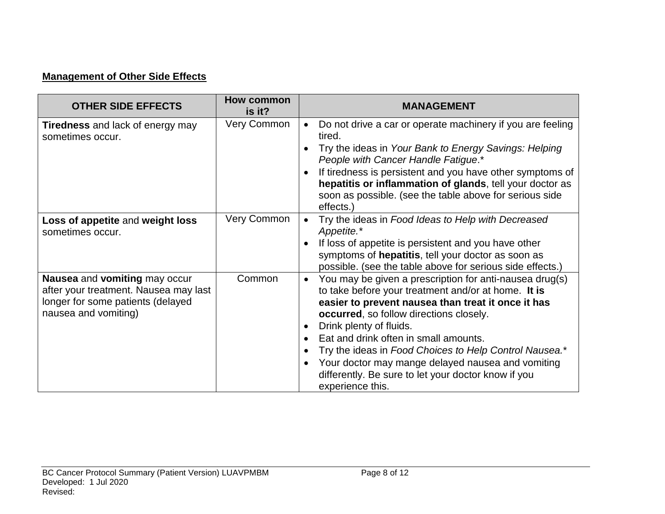## **Management of Other Side Effects**

| <b>OTHER SIDE EFFECTS</b>                                                                                                           | <b>How common</b><br>is it? | <b>MANAGEMENT</b>                                                                                                                                                                                                                                                                                                                                                                                                                                                                                  |
|-------------------------------------------------------------------------------------------------------------------------------------|-----------------------------|----------------------------------------------------------------------------------------------------------------------------------------------------------------------------------------------------------------------------------------------------------------------------------------------------------------------------------------------------------------------------------------------------------------------------------------------------------------------------------------------------|
| <b>Tiredness</b> and lack of energy may<br>sometimes occur.                                                                         | <b>Very Common</b>          | Do not drive a car or operate machinery if you are feeling<br>$\bullet$<br>tired.<br>Try the ideas in Your Bank to Energy Savings: Helping<br>People with Cancer Handle Fatigue.*<br>If tiredness is persistent and you have other symptoms of<br>hepatitis or inflammation of glands, tell your doctor as                                                                                                                                                                                         |
|                                                                                                                                     |                             | soon as possible. (see the table above for serious side<br>effects.)                                                                                                                                                                                                                                                                                                                                                                                                                               |
| Loss of appetite and weight loss<br>sometimes occur.                                                                                | Very Common                 | Try the ideas in Food Ideas to Help with Decreased<br>Appetite.*<br>If loss of appetite is persistent and you have other<br>symptoms of hepatitis, tell your doctor as soon as<br>possible. (see the table above for serious side effects.)                                                                                                                                                                                                                                                        |
| Nausea and vomiting may occur<br>after your treatment. Nausea may last<br>longer for some patients (delayed<br>nausea and vomiting) | Common                      | You may be given a prescription for anti-nausea drug(s)<br>$\bullet$<br>to take before your treatment and/or at home. It is<br>easier to prevent nausea than treat it once it has<br><b>occurred</b> , so follow directions closely.<br>Drink plenty of fluids.<br>Eat and drink often in small amounts.<br>Try the ideas in Food Choices to Help Control Nausea.*<br>Your doctor may mange delayed nausea and vomiting<br>differently. Be sure to let your doctor know if you<br>experience this. |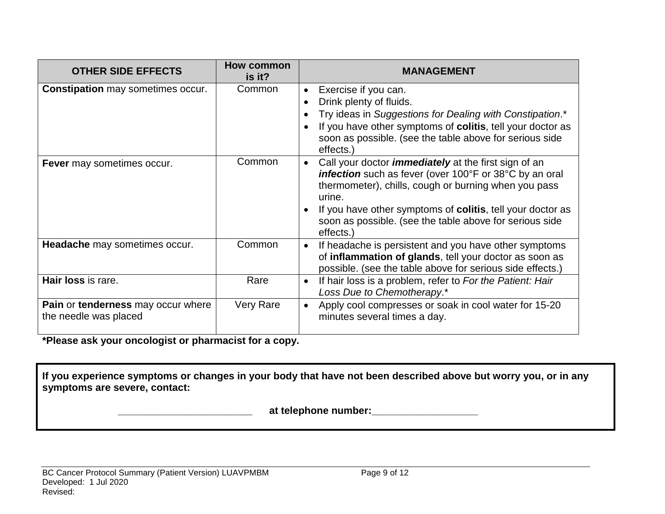| <b>OTHER SIDE EFFECTS</b>                                   | <b>How common</b><br>is it? | <b>MANAGEMENT</b>                                                                                                                                                                                                                                                                                                                    |
|-------------------------------------------------------------|-----------------------------|--------------------------------------------------------------------------------------------------------------------------------------------------------------------------------------------------------------------------------------------------------------------------------------------------------------------------------------|
| <b>Constipation</b> may sometimes occur.                    | Common                      | Exercise if you can.<br>$\bullet$<br>Drink plenty of fluids.<br>Try ideas in Suggestions for Dealing with Constipation.*<br>If you have other symptoms of colitis, tell your doctor as<br>soon as possible. (see the table above for serious side<br>effects.)                                                                       |
| <b>Fever</b> may sometimes occur.                           | Common                      | Call your doctor <i>immediately</i> at the first sign of an<br><b>infection</b> such as fever (over 100°F or 38°C by an oral<br>thermometer), chills, cough or burning when you pass<br>urine.<br>If you have other symptoms of colitis, tell your doctor as<br>soon as possible. (see the table above for serious side<br>effects.) |
| <b>Headache</b> may sometimes occur.                        | Common                      | If headache is persistent and you have other symptoms<br>of inflammation of glands, tell your doctor as soon as<br>possible. (see the table above for serious side effects.)                                                                                                                                                         |
| Hair loss is rare.                                          | Rare                        | If hair loss is a problem, refer to For the Patient: Hair<br>$\bullet$<br>Loss Due to Chemotherapy.*                                                                                                                                                                                                                                 |
| Pain or tenderness may occur where<br>the needle was placed | <b>Very Rare</b>            | Apply cool compresses or soak in cool water for 15-20<br>minutes several times a day.                                                                                                                                                                                                                                                |

**\*Please ask your oncologist or pharmacist for a copy.**

**If you experience symptoms or changes in your body that have not been described above but worry you, or in any symptoms are severe, contact:**

 **\_\_\_\_\_\_\_\_\_\_\_\_\_\_\_\_\_\_\_\_\_\_\_\_ at telephone number:\_\_\_\_\_\_\_\_\_\_\_\_\_\_\_\_\_\_\_**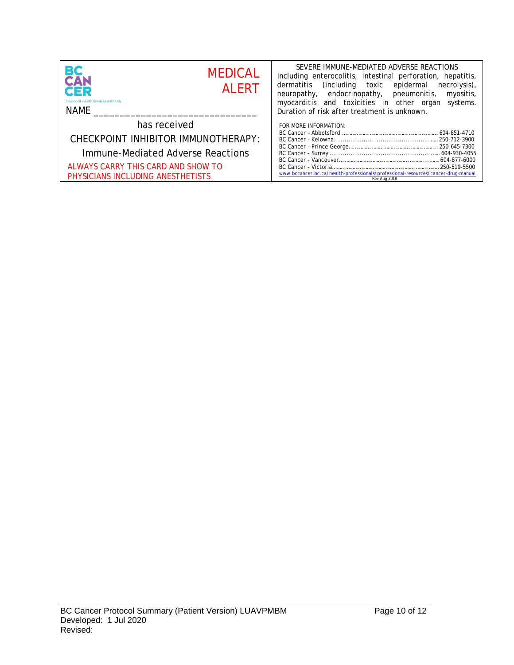| <b>BC</b><br>CAN<br><b>MEDICAL</b><br><b>AI FRT</b><br><b>CER</b><br><b>Provincial Health Services Authority</b><br>NAME | SEVERE IMMUNE-MEDIATED ADVERSE REACTIONS<br>Including enterocolitis, intestinal perforation, hepatitis,<br>(including toxic epidermal necrolysis),<br>dermatitis<br>neuropathy, endocrinopathy, pneumonitis, myositis,<br>myocarditis and toxicities in other organ<br>systems.<br>Duration of risk after treatment is unknown. |  |
|--------------------------------------------------------------------------------------------------------------------------|---------------------------------------------------------------------------------------------------------------------------------------------------------------------------------------------------------------------------------------------------------------------------------------------------------------------------------|--|
| has received                                                                                                             | FOR MORE INFORMATION:                                                                                                                                                                                                                                                                                                           |  |
| CHECKPOINT INHIBITOR IMMUNOTHERAPY:                                                                                      |                                                                                                                                                                                                                                                                                                                                 |  |
| Immune-Mediated Adverse Reactions                                                                                        |                                                                                                                                                                                                                                                                                                                                 |  |
| ALWAYS CARRY THIS CARD AND SHOW TO                                                                                       |                                                                                                                                                                                                                                                                                                                                 |  |
| PHYSICIANS INCLUDING ANESTHETISTS                                                                                        | www.bccancer.bc.ca/health-professionals/professional-resources/cancer-drug-manual<br>Rev Aug 2018                                                                                                                                                                                                                               |  |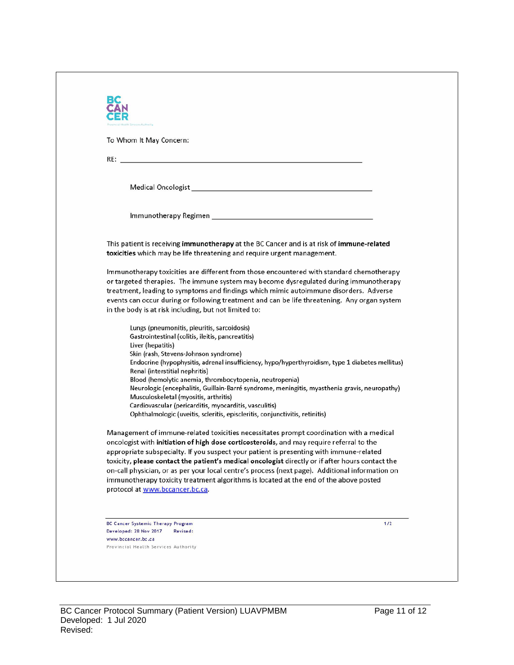| To Whom It May Concern:                                                                                                                                                                                                                                                                                                                                                                                                                        |                                                                                                                                                                                                                                                                                                                                                                                                                                                                                                                                                                                |
|------------------------------------------------------------------------------------------------------------------------------------------------------------------------------------------------------------------------------------------------------------------------------------------------------------------------------------------------------------------------------------------------------------------------------------------------|--------------------------------------------------------------------------------------------------------------------------------------------------------------------------------------------------------------------------------------------------------------------------------------------------------------------------------------------------------------------------------------------------------------------------------------------------------------------------------------------------------------------------------------------------------------------------------|
| RE: <u>Contract of the contract of the contract of the contract of the contract of the contract of</u>                                                                                                                                                                                                                                                                                                                                         |                                                                                                                                                                                                                                                                                                                                                                                                                                                                                                                                                                                |
|                                                                                                                                                                                                                                                                                                                                                                                                                                                |                                                                                                                                                                                                                                                                                                                                                                                                                                                                                                                                                                                |
|                                                                                                                                                                                                                                                                                                                                                                                                                                                |                                                                                                                                                                                                                                                                                                                                                                                                                                                                                                                                                                                |
|                                                                                                                                                                                                                                                                                                                                                                                                                                                |                                                                                                                                                                                                                                                                                                                                                                                                                                                                                                                                                                                |
| toxicities which may be life threatening and require urgent management.                                                                                                                                                                                                                                                                                                                                                                        | This patient is receiving immunotherapy at the BC Cancer and is at risk of immune-related                                                                                                                                                                                                                                                                                                                                                                                                                                                                                      |
| in the body is at risk including, but not limited to:                                                                                                                                                                                                                                                                                                                                                                                          | Immunotherapy toxicities are different from those encountered with standard chemotherapy<br>or targeted therapies. The immune system may become dysregulated during immunotherapy<br>treatment, leading to symptoms and findings which mimic autoimmune disorders. Adverse<br>events can occur during or following treatment and can be life threatening. Any organ system                                                                                                                                                                                                     |
| Lungs (pneumonitis, pleuritis, sarcoidosis)<br>Gastrointestinal (colitis, ileitis, pancreatitis)<br>Liver (hepatitis)<br>Skin (rash, Stevens-Johnson syndrome)<br>Renal (interstitial nephritis)<br>Blood (hemolytic anemia, thrombocytopenia, neutropenia)<br>Musculoskeletal (myositis, arthritis)<br>Cardiovascular (pericarditis, myocarditis, vasculitis)<br>Ophthalmologic (uveitis, scleritis, episcleritis, conjunctivitis, retinitis) | Endocrine (hypophysitis, adrenal insufficiency, hypo/hyperthyroidism, type 1 diabetes mellitus)<br>Neurologic (encephalitis, Guillain-Barré syndrome, meningitis, myasthenia gravis, neuropathy)                                                                                                                                                                                                                                                                                                                                                                               |
| protocol at www.bccancer.bc.ca.                                                                                                                                                                                                                                                                                                                                                                                                                | Management of immune-related toxicities necessitates prompt coordination with a medical<br>oncologist with initiation of high dose corticosteroids, and may require referral to the<br>appropriate subspecialty. If you suspect your patient is presenting with immune-related<br>toxicity, please contact the patient's medical oncologist directly or if after hours contact the<br>on-call physician, or as per your local centre's process (next page). Additional information on<br>immunotherapy toxicity treatment algorithms is located at the end of the above posted |
| <b>BC Cancer Systemic Therapy Program</b>                                                                                                                                                                                                                                                                                                                                                                                                      | 1/2                                                                                                                                                                                                                                                                                                                                                                                                                                                                                                                                                                            |